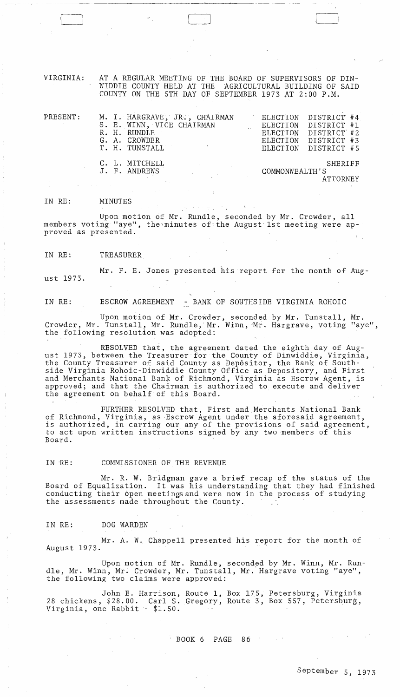VIRGINIA: AT A REGULAR MEETING OF THE BOARD OF SUPERVISORS OF DIN-WIDDIE COUNTY HELD AT THE AGRICULTURAL BUILDING OF SAID COUNTY ON THE 5TH DAY OF SEPTEMBER 1973 AT 2:00 P.M.

| PRESENT: | M. I. HARGRAVE, JR., CHAIRMAN<br>S. E. WINN, VICE CHAIRMAN<br>R. H. RUNDLE<br>G. A. CROWDER<br>T. H. TUNSTALL | ELECTION DISTRICT #4<br>ELECTION DISTRICT #1 | ELECTION DISTRICT #2<br>ELECTION DISTRICT #3<br>ELECTION DISTRICT #5 |  |
|----------|---------------------------------------------------------------------------------------------------------------|----------------------------------------------|----------------------------------------------------------------------|--|
|          | C. L. MITCHELL<br>J. F. ANDREWS                                                                               | SHERIFF<br>COMMONWEALTH'S<br><b>ATTORNEY</b> |                                                                      |  |

#### IN RE: MINUTES

Upon motion of Mr. Rundle, seconded by Mr. Crowder, all members voting "aye", the-minutes of-the August' 1st meeting were approved as presented.

IN RE: TREASURER

Mr. F. E. Jones presented his report for the month of August 1973.

# IN RE: ESCROW AGREEMENT - BANK OF SOUTHSIDE VIRGINIA ROHOIC

Upon motion of Mr. Crowder, seconded by Mr. Tunstall, Mr. Crowder, Mr. Tunstall, Mr. Rundle, Mr. Winn, Mr. Hargrave, voting "aye", the following resolution was adopted:

RESOLVED that, the agreement dated the eighth day of August 1973, between the Treasurer for the County of Dinwiddie, Virginia, the County Treasurer of said County as Depositor, the Bank of Southside Virginia Rohoic-Dinwiddie County Office as Depository, and First and Merchants National Bank of Richmond, Virginia as Escrow Agent, is approved; and that the Chairman is authorized to execute and deliver the agreement on behalf of this Board.

FURTHER RESOLVED that, First and,Merchants National Bank of Richmond, Virginia, as Escrow Agent under the aforesaid agreement, is authorized, in carring our any of the provisions of said agreement, to act upon written instructions signed by any two members of this Board.

#### IN RE: COMMISSIONER OF THE REVENUE

Mr. R. W. Bridgman gave a brief recap of the status of the Board of Equalization. It was his understanding that they had finished conducting their open meetings and were now in the process of studying the assessments made throughout the County.

#### IN RE: DOG WARDEN

 $\frac{1}{2}$ 

 $\bar{z}$ 

Mr. A. W. Chappell presented his report for the month of August 1973.

Upon motion of Mr. Rundle, seconded by Mr. Winn, Mr. Rundle, Mr. Winn, Mr. Crowder, Mr. Tunstall, Mr. Hargrave voting "aye", the following two claims were approved:

John E. Harrison, Route 1, Box 175, Petersburg, Virginia 28 chickens, \$28.00. Carl S. Gregory, Route 3, Box 557, Petersburg, Virginia, one Rabbit - \$1.50.

BOOK 6 PAGE 86

 $\mathcal{A}=\{x_1,\ldots,x_n\}$  , where  $\mathcal{A}=\mathcal{A}$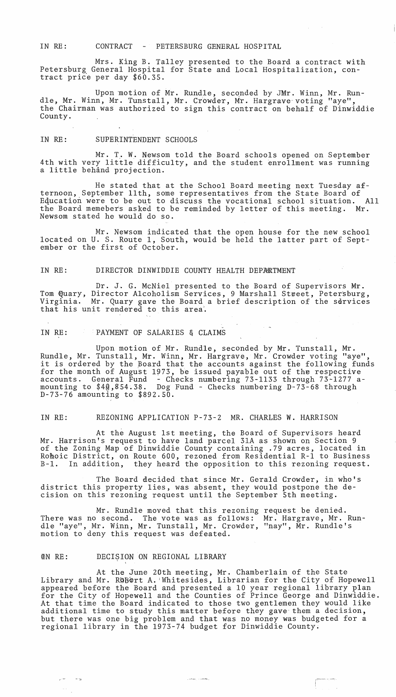IN RE: CONTRACT - PETERSBURG GENERAL HOSPITAL

Mrs. King B. Talley presented to the Board a contract with Petersburg General Hospital for State and Local Hospitalization, contract price per day \$60.35.

Upon motion of Mr. Rundle, seconded by JMr. Winn, Mr. Rundle, Mr. Winn, Mr. Tunstall, Mr. Crowder, Mr. Hargrave voting "aye", the Chairman was authorized to sign this contract on behalf of Dinwiddie County.

IN RE: SUPERINTENDENT SCHOOLS

Mr. T,. W. Newsom told the Board schools opened on September 4th with very little difficulty, and the student enrollment was running a little behand projection.

He stated that at the School Board meeting next Tuesday afternoon, September 11th, some representatives from the State Board of Education were to be out to discuss the vocational school situation. All the Board memebers asked to be reminded by letter of this meeting. Mr. Newsom stated he would do so.

Mr. Newsom indicated that the open house for the new school located on U. S. Route 1, South, would be held the latter part of September or the first of October.

# IN RE: DIRECTOR DINWIDDIE COUNTY HEALTH DEPARTMENT

Dr. J. G. McNiel presented to the Board of Supervisors Mr. Tom Quary, Director Alcoholism Services, 9 Marshall Street, Petersburg, Virginia. Mr. Quary gave the Board a brief description of the services that his unit rendered to this area.

IN RE: PAYMENT OF SALARIES & CLAIMS

Upon motion of Mr. Rundle, seconded by Mr. Tunstall, Mr. Rundle, Mr. Tunstall, Mr. Winn, Mr. Hargrave, Mr. Crowder voting "aye", kundie, Mi. Tunstail, Mr. Winn, Mr. Hargrave, Mr. Crowder voting aye,<br>it is ordered by the Board that the accounts against the following funds for the month of August 1973, be issued payable out of the respective accounts. General Fund - Checks numbering 73-1133 through 73-1277 amounting to \$4@,854.38. Dog Fund - Checks numbering D-73-68 through D-73-76 amounting to \$892.50.

IN RE: REZONING APPLICATION P-73-2 MR. CHARLES W. HARRISON

At the August 1st meeting, the Board of Supervisors heard Mr. Harrison's request to have land parcel 3lA as shown on Section 9 of the Zoning Map of Dinwiddie County containing .79 acres, located in Rohoic District, on Route 600, rezoned from Residential R-l to Business B-1. In addition, they heard the opposition to this rezoning request.

The Board decided that since Mr. Gerald Crowder, in who's district this property lies, was absent, they would postpone the decision on this rezoning request until the September 5th meeting.

Mr. Rundle moved that this rezoning There was no second. The vote was as follows: dIe "aye", Mr. Winn, Mr. Tunstall, Mr. Crowder, "nay", Mr. Rundle's motion to deny this request was defeated. request be denied. Mr. Hargrave, Mr. Run-

#### UN RE: DECISION ON REGIONAL LIBRARY

At the June 20th meeting, Mr. Chamberlain of the State Library and Mr. ROBOrt A. Whitesides, Librarian for the City of Hopewell appeared before the Board and presented a 10 year regional library plan for the City of Hopewell and the Counties of Prince George and Dinwiddie. At that time the Board indicated to those two gentlemen they would like additional time to study this matter before they gave'them a decision, but there was one big problem and that was no money was budgeted for a regional library in the 1973-74 budget for Dinwiddie County.

يتعسب إسمارا

 $\int_{\mathbb{R}^n}$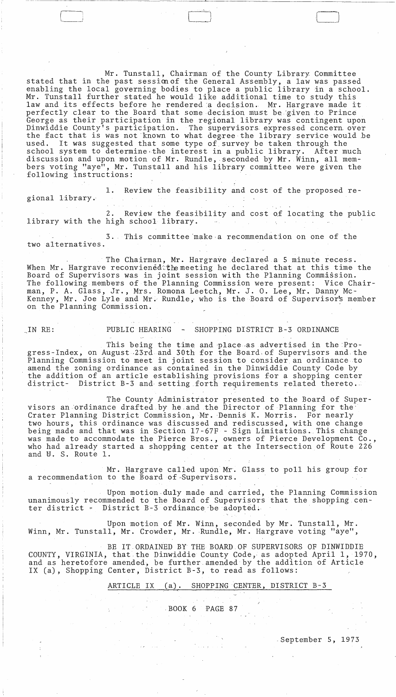Mr. Tunstall, Chairman of the County Library Committee stated that in the past session of the General Assembly, a law was passed enabling the local governing bodies to place a public library in a school. Mr. Tunstall further stated he would like additional time to study this law and its effects before he rendered a decision. Mr. Hargrave made it perfectly clear to the Board that some decision must be given to Prince George as their participation in the regional library was contingent upon Dinwiddie County's participation. The supervisors. expressed concern. over the fact that is was not known to what deg.ree the library service would .be used. It was suggested that some type of survey be taken through the school system to determine the interest in a public library. After much discussion and upon motion of Mr. Rundle, . seconded by Mr. Winn, all members voting "aye", Mr. Tunstall and his library committee were given the following instructions:

1. Review the feasibility and cost of the proposed regional library.

2. Review the feasibility and cost of locating the public library with the high school library.  $\sim 10^{-1}$ 

3. This committee·make·a recommendation on one of the two alternatives.

The Chairman, Mr. Hargrave declared a 5 minute recess. When Mr. Hargrave reconviened the meeting he declared that at this time the Board of Supervisors was in joint session with the Planning Commission. The following members of the Planning Commission were present: Vice Chairman, P. A. Glass, Jr., Mrs. Romona Leetch, Mr. J. O. Lee, Mr. Danny Mc-Kenney, Mr. Joe Lyle and Mr. Rundle, who is the Board of Supervisor's member on the Planning Commission. .

-- -- ----~----------~---~~-

 $\Box$ 

# IN RE: PUBLIC HEARING - SHOPPING DISTRICT B-3 ORDINANCE

This being the time and place as advertised in the Progress-Index, on August .23rd and 30th for the Board.of Supervisors and,the Planning Commission to meet in joint session to consider an ordinance to amend the zoning ordinance as contained in the Dinwiddie County Code by the addition of an article establishing provisions for a shopping center district- District B-3 and setting forth requirements related thereto.

The County Administrator presented to the Board of Supervisors an'ordinance drafted by he.and the Director of Planning for the' Crater Planning District Commission, Mr. Dennis K. Morris. For nearly two hours, this ordinance was discussed and rediscussed, with one change being made and that was in Section 17-67F - Sign Limitations. This change was made to accommodate the Pierce Bros., owners of Pierce Development Co., who had already started a shopping center at the Intersection of Route 226 and U. S. Route 1.

Mr. Hargrave called upon Mr. Glass to poll his group for a recommendation to the Board of·Supervisors.

Upon motion.duly made and carried, the Planning Commission unanimously recommended to the Board of Supervisors that the shopping cen-<br>ter district - District B-3 ordinance be adopted. District  $B-3$  ordinance be adopted.

Upon motion of Mr. Winn, seconded by Mr. Tunstall, Mr. Winn, Mr. Tunstall, Mr. Crowder, Mr. Rundle, Mr. Hargrave voting "aye",

BE IT ORDAINED BY THE BOARD.OF SUPERVISORS OF DINWIDDIE COUNTY, VIRGINIA, that the Dinwiddie County Code, as adopted April 1, 1970, and as heretofore amended, be further amended by the addition of Article IX (a), Shopping Center, District B-3, to read as follows:

# ARTICLE IX (a). SHOPPING CENTER, DISTRICT B-3

.BOOK 6 PAGE 87

,September 5, 1973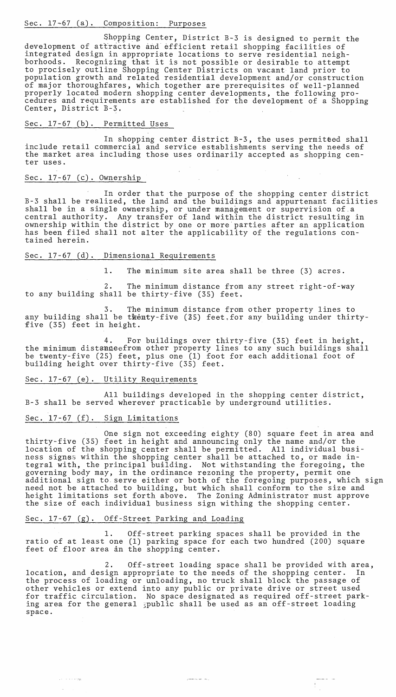# Sec. 17~67 (a). Composition: Purposes

Shopping Center, District B-3 is designed to permit the development of attractive and efficient retail shopping facilities of integrated design in appropriate locations to serve residential neighborhoods. Recognizing that it is not possible or desirable to attempt to procisely outline Shopping Center Districts on vacant land prior to population growth and related residential development and/or construction of major thoroughfares, which together are prerequisites of well-planned properly located modern shopping center developments, the following procedures and requirements are established for the development of a Shopping Center, District B-3.

# Sec. 17-67 (b). Permitted Uses

In shopping center district  $B-3$ , the uses permitted shall include retail commercial and service establishments serving the needs of the market area including those uses ordinarily accepted as shopping center uses.

# Sec. 17-67 (c). Ownership

In order that the purpose of the shopping center district B-3 shall be realized, the land and the buildings and appurtenant facilities shall be in a single ownership, or under management or supervision of a central authority. Any transfer of land within the district resulting in ownership within the district by one or more'parties after an application has been filed shall not alter the applicability of the regulations contained herein.

# Sec. 17-67 (d). Dimensional Requirements

**1.** The minimum site area shall be three (3) acres.

2. The minimum distance from any street right-of-way to any building shall be thirty-five (35) feet.

3. The minimum distance from other property lines to any building shall be twenty-five (25) feet, for any building under thirtyfive (35) feet in height.

4. For buildings over thirty-five (35) feet in height, the minimum distanceefrom other property lines to any such buildings shall be twenty-five (25) feet, plus one (1) foot for each additional foot of building height over thirty-five (35) feet.

#### Sec. 17-67 (e). Utility Requirements

All buildings developed in the shopping center district, B-3 shall be served wherever practicable by underground utilities.

## Sec. 17-67 (f). Sign Limitations

 $\tau \in \mathbb{R}^{d \times d}$  , we see  $\eta_{\text{IR}}$ 

One sign not exceeding eighty (80) square feet in area and thirty-five (35) feet in height and announcing only the name and/or the location of the shopping center shall be permitted. All individual business signss within the shopping center shall be attached to, or made integral with, the principal building. Not withstanding the foregoing, the governing body may, in the ordinance rezoning the property, permit one additional sign to. serve either or both of the foregoing purposes, which sign need not be attached to building, but which shall conform to the size and height limitations set forth above. The Zoning Administrator must approve the size of each individual business sign wi thing the shopping center.

# Sec. 17-67 (g). Off-Street Parking and Loading

**1.** Off-street parking spaces shall be provided in the ratio of at least one (1) parking space for each two hundred (200) square feet of floor area in the shopping center.

2. Off-street loading space shall be provided with area, location, and design appropriate to the needs of the shopping center. In the process of loading or unloading, no truck shall block the passage other vehicles or extend into any public or private drive or street used for traffic circulation. No space designated as required off-street parking area for the general gpublic shall be used as an off-street loading space.

أربعاء المدعسمين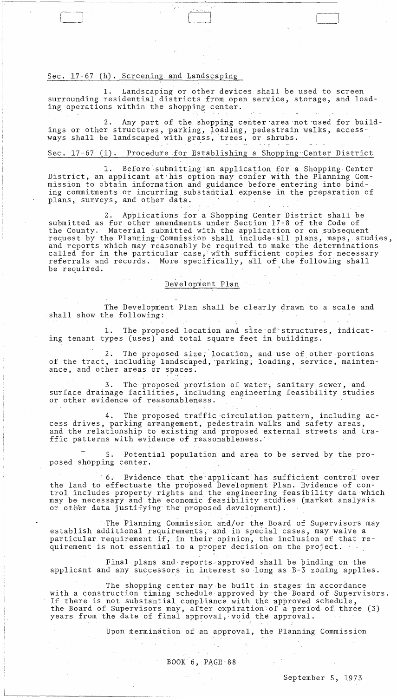## Sec. 17-67 (h). Screening and Landscaping

Landscaping or other devices shall be used to screen surrounding residential districts from open service, storage, and loading operations within the shopping center.

 $\Box$ 

-~--~~----~------ ---- - ---------------,-"------------------------

Any part of the shopping center area not used for buildings or other structures, parking, loading, pedestrain walks, accessways shall be landscaped with grass, trees, or shrubs.

#### Sec. 17-67 (i). Procedure for Establishing a Shopping Center District

1. Before submitting an application for a Shopping' Center District, an applicant at'his option may confer with the Planning Commission to obtain information and guidance before entering into binding commitments or incurring substantial expense in the preparation of plans, surveys, and other data.

Applications for a Shopping Center District shall be submitted as for other amendments under Section 17-8 of the Code of<br>the County. Material submitted with the application or on subseque: Material submitted with the application or on subsequent request by the Planning Commission shall include all plans, maps, studies, and reports which may reasonably be required to make the determinations called for in the particular case, with sufficient copies for necessary referrals and records. More specifically, all of the followihg shall be required.

#### Development Plan

The Development Plan shall be clearly drawn to a scale and shall show the following:

1. The proposed location and size of-structures, indicating tenant types (uses) and total square feet in buildings.

2. The proposed size, location, and use of other portions of the tract, including landscaped, parking, loading, service, maintenance, and other areas or spaces.

3. The proposed provision of water, sanitary sewer, and surface drainage facilities, including engineering feasibility studies or other evidence of reasonableness.

4. The proposed traffic-circulation pattern, including access drives, parking arrangement, pedestrain walks and safety areas, and the relationship to existing and proposed external streets and traffic patterns with evidence of reasonableness.'

5. Potential population and area to be served by the proposed shopping center.

6. Evidence that the applicant has sufficient control over the land to effectuate the proposed Development Plan. 'Evidence of control includes property rights and the engineering feasibility data which may be necessapy and the economic feasibility studies (market analysis has be neededly and the communicated development).

The Planning Commission and/or the Board of Supervisors may establish additional requirements, and in special cases, may waive a particular requirement if, in their opinion, the inclusion of that re-<br>quirement is not essential to a proper decision on the project.

Final plans and· reports approved shall be binding on the applicant and any successors in interest so long as B-3 zoning applies.

The shopping center may be built in stages in accordance with a construction timing schedule approved by the Board of Supervisors. If there is not substantial compliance with the approved schedule, the Board of Supervisors may, after expiration of a period of three (3) years from the date of final approval,·void the approval.

 $\sim 10^7$ 

Upon mermination of an approval, the Planning Commission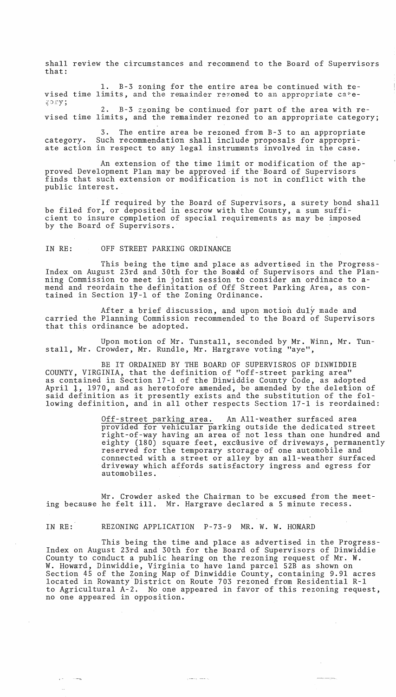shall review the circumstances and recommend to the Board of Supervisors that:

1. B-3 zoning for the entire area be continued with revised time limits, and the remainder rezoned to an appropriate category;

2. B-3 zzoning be continued for part of the area with revised time limits, and the remainder rezoned to an appropriate category;

3. The entire area be rezoned from B-3 to an appropriate category. Such recommendation shall include proposals for appropriate action in respect to any legal instruments involved in the case.

An extension of the time limit or modification of the approved Development Plan may be approved if the Board of Supervisors finds that such extension or modification is not in conflict with the public interest.

If required by the Board of Supervisors, a surety bond shall be filed for, or deposited in escrow with the County, a sum sufficient to insure cpmpletion of special requirements as may be imposed by the Board of Supervisors.

IN RE: OFF STREET PARKING ORDINANCE

This being the time and place as advertised in the Progress-Index on August 23rd and 30th for the Board of Supervisors and the Planning Commission to meet in joint session to consider an ordinace to amend and reordain the definitation of Off Street Parking Area, as contained in Section  $1\bar{y}$ -1 of the Zoning Ordinance.

After a brief discussion, and upon motion duly made and carried the Planning Commission recommended to the Board of Supervisors that this ordinance be adopted.

Upon motion of Mr. Tunstall, seconded by Mr. Winn, Mr. Tunstall, Mr. Crowder, Mr. Rundle, Mr. Hargrave voting "aye",

BE IT ORDAINED BY THE BOARD OF SUPERVISROS OF DINWIDDIE COUNTY, VIRGINIA, that the definition of "off-street parking area" as contained in Section 17-1 of the Dinwiddie County Code, as adopted April 1, 1970, and as heretofore amended, be amended by the deletion of said definition as it presently exists and the substitution of the following definition, and in all other respects Section 17-1 is reordained:

> Off-street parking area. An All-weather surfaced area provided for vehicular parking outside the dedicated street right-of-way having an area of not less than one hundred and eighty (180) square feet, exclusive of driveways, permanently reserved for the temporary storage of one automobile and connected with a street or alley by an all-weather surfaced driveway which affords satisfactory ingress and egress for automobiles.

Mr. Crowder asked the Chairman to be excused from the meeting because he felt ill. Mr. Hargrave declared a 5 minute recess.

IN RE: REZONING APPLICATION P-73-9 MR. W. W. HOWARD

 $\mathcal{L}^{\mathcal{L}}$ 

This being the time and place as advertised in the Progress-Index on August 23rd and 30th for the Board of Supervisors of Dinwiddie County to conduct a public hearing on the rezoning request of Mr. W. W. Howard, Dinwiddie, Virginia to have land parcel 52B as shown on Section 45 of the Zoning Map of Dinwiddie County, containing 9.91 acres located in Rowanty-District on Route 703 rezoned from Residential R-l to Agricultural A-2. No one appeared in favor of this rezoning request, no one appeared in opposition.

يدحمد وتعليل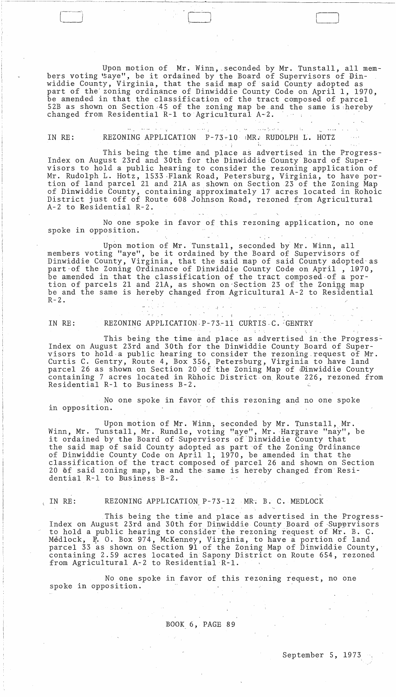Upon motion of Mr. Winn, . seconded by Mr. Tunstall, all members voting "saye", be it ordained by the Board of Supervisors of Dinwiddie County, Virginia, that the said map of said County adopted as part of the' zoning ordinance of Dinwiddie County Code on April 1, 1970, be amended in that the classification of the tract composed of parcel 52B as shown on Section 45 of the zoning map be and the same is hereby changed from Residential R-1 to Agricultural A-2.

 $\begin{pmatrix} 1 & 1 & 1 \ 1 & 1 & 1 \end{pmatrix}$ 

 $\mathcal{L} = \{ \mathbf{v}_1, \mathbf{v}_2, \ldots, \mathbf{v}_{n-1}, \mathbf{v}_n, \ldots, \mathbf{v}_{n-1}, \ldots, \mathbf{v}_{n-1}, \ldots, \mathbf{v}_{n-1}, \ldots, \mathbf{v}_{n-1}, \ldots, \mathbf{v}_{n-1}, \ldots, \mathbf{v}_{n-1}, \ldots, \mathbf{v}_{n-1}, \ldots, \mathbf{v}_{n-1}, \ldots, \mathbf{v}_{n-1}, \ldots, \mathbf{v}_{n-1}, \ldots, \mathbf{v}_{n-1}, \ldots, \mathbf{v}_{n-1}, \ldots, \$ الوادية الحديداني حد IN RE: REZONING APPLICATION P-73-10 :MR.: RUDOLPH L. HOTZ  $\label{eq:2.1} \mathcal{L}_{\mathcal{A}}(\mathbf{x},\mathbf{y})=\mathcal{L}_{\mathcal{A}}(\mathbf{x},\mathbf{y})\quad\text{for all}\quad \mathcal{L}_{\mathcal{A}}(\mathbf{x},\mathbf{y})=\mathcal{L}_{\mathcal{A}}(\mathbf{x},\mathbf{y})\,.$ 

~~-----~~-~~------- -~--~-~~---'-------~

This being the time and place as advertised in the Progress-Index on August 23rd and 30th for the Dinwiddie County Board of Supervisors to hold a public hearing to consider the rezoning application of Mr. Rudolph L. Hotz, 1533 Flank Road, Petersburg, Virginia, to have portion of land parcel 21 and 2lA as shown on Section 23 of the Zoning Map of Dinwiddie County, containing approximately 17 acres located in Rohoic District just off of Route 608 Johnson Road, rezoned from Agricultural A-2 to Residential R-2. .

No one spoke in favor of this rezoning application, no one spoke in opposition.  $\Delta \sim 1$  $\sim$  1  $\times$  .

Upon motion of Mr. Tunstall, seconded by Mr. Winn, all members voting "aye", be it ordained by the Board of Supervisors of Dinwiddie County, Virginia, that the said map of said County adopted' as part of the Zoning Ordinance of Dinwiddie County Code on April, 1970, be amended in that the classification of the tract composed.of a portion of parcels 21 and 21A, as shown on-Section 23 of the Zoning map be and the same is hereby changed from Agricultural A-2 to Residential  $R-2$ .

i Santa Gregoria (m. 1938)<br>1903: Paul Gregoria (m. 1939) IN RE: REZONING APPLICATION P-73-11 CURTIS C. GENTRY

an Kalifornia.<br>1970 - Paul III (1970)

This being the time and place as advertised in the Progress-Index on August 23rd and 30th for the Dinwiddie County Board of Supervisors to hold a public hearing to consider the rezoning request of Mr. Curtis C. Gentry, Route 4, Box 356, Petersburg, Virginia to have land parcel 26 as shown on Section 20 of the Zoning Map of ®inwiddie County containing 7 acres located in Rohoic District on Route 226, rezoned from Residential R-l to Business B-2.

No one spoke in favor of this rezoning and no one spoke in opposition.

Upon motion of Mr. Winn, seconded by Mr. Tunstall, Mr. Winn, Mr. Tunstall, Mr. Rundle, voting "aye", Mr. Hargrave "nay", be it ordained by the Board of Supervisors of Dinwiddie County that the said map of said County adopted as part of the Zoning Ordinance of Dinwiddie County Code on April 1; 1970, be amended in that the classification of the tract composed of parcel 26 and shown on Section 20 of said zoning map, be and the same is hereby changed from Residential R-l to Business B-2.

( IN RE: REZONING APPLICATION P-73-l2 MR; B. C. MEDLOCK

This being the time and place as advertised in the Progress-Index on August 23rd and 30th for Dinwiddie County Board of Supervisors to hold a public hearing to consider'the rezoning request of Mr. B. C. Medlock,  $\overline{P}$ . O. Box 974, McKenney, Virginia, to have a portion of land parcel 33 as shown on Section 91 of the Zoning Map of Dinwiddie County, containing 2.59 acres located in Sapony District on Route 654, rezoned from Agricultural A-2 to Residential R-1.

No one spoke in favor of this rezoning request, no one spoke in opposition.

BOOK 6, PAGE 89

September 5, 1973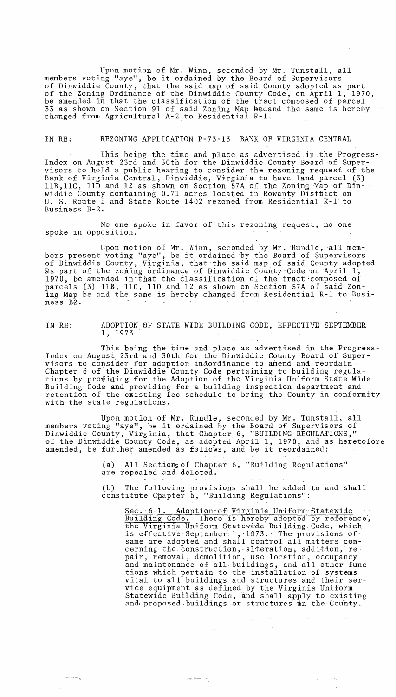Upon motion of Mr. Winn, seconded by Mr. Tunstall, all members voting "aye", be it ordained by the Board of Supervisors of Dinwiddie County, that the said map of said County adopted as part of the Zoning Ordinance of the Dinwiddie County Code, on April 1, 1970, be amended in that the classification of the tract composed of parcel 33 as shown on Section 91 of said Zoning Map bedand the same is hereby changed from Agricultural A-2 to Residential R-1.

#### IN RE: REZONING APPLICATION P-73-l3 BANK OF VIRGINIA CENTRAL

This being the time and place as advertised-in the Progress-Index on August 23rd and 30th for the Dinwiddie County Board of Supervisors to hold a public hearing to consider the rezoning request of the Bank of Virginia Central, Dinwiddie, Virginia to have land parcel (3) llB, 11C, 11D and 12 as shown on Section 57A of the Zoning Map of Dinwiddie County containing 0.71 acres located in Rowanty Distbict on U. S. Route 1 and State Route 1402 rezoned from Residential R-1 to Business B-2.

No one spoke in favor of this rezoning request, no one spoke in opposition.

Upon motion of Mr. Winn, seconded by Mr. Rundle, all members present voting "aye", be it ordained by the Board of Supervisors of Dinwiddie County, Virginia, that the said map of said County adopted has part of the zoning ordinance of Dinwiddie County Code on April 1, 1970, be amended in that the classification of the tract composed of parcels (3) lIB, llC, lID and 12 as shown on Section 57A of said Zoning Map be and the same is hereby changed from Residential R-l to Business B2.

IN RE: ADOPTION OF STATE WIDE-BUILDING CODE, EFFECTIVE SEPTEMBER 1, 1973

This being the time and place as advertised in the Progress-Index on August 23rd and 30th for the Dinwiddie County Board of Supervisors to consider for adoption andordinance to amend and reordain Chapter 6 of the Dinwiddie County Code pertaining to building regulations by providing for the Adoption of the Virginia Uniform State Wide Building Code and providing for a building inspection department and retention of the existing fee schedule to bring the County in conformity with the state regulations.

Upon motion of Mr. Rundle, seconded by Mr. Tunstall, all members voting "aye", be it ordained by the Board of Supervisors of Dinwiddie County, Virginia, that Chapter-6, "BUILDING REGULATIONS," of the Dinwiddie County Code, as adopted April-I, 1970, and-as heretofore or the binwiddle County Code, as adopted April 1, 1970, and a<br>amended, be further amended as follows, and be it reordained:

 $\overline{a}$ 

(a) All Sections of Chapter 6, "Building Regulations" are repealed and deleted.

(b) The following provisions shall be added to and shall constitute Chapter 6, "Building Regulations":

Sec. 6-1. Adoption of Virginia Uniform Statewide Building Code. There is hereby adopted by reference, the Virginia Uniform Statewide Building Code, which is effective September-1, 1973. The provisions of same are adopted and shall control all matters concerning the construction, alteration, addition, repair, removal, demolition, use location, occupancy and maintenance of all buildings, and all other functions which pertain to the installation of systems vital to all buildings and structures and their service equipment as defined by the Virginia Uniform Statewide Building Code, and shall apply to existing and proposed buildings or structures in the County.

 $\sim$ 

 $\pm$  .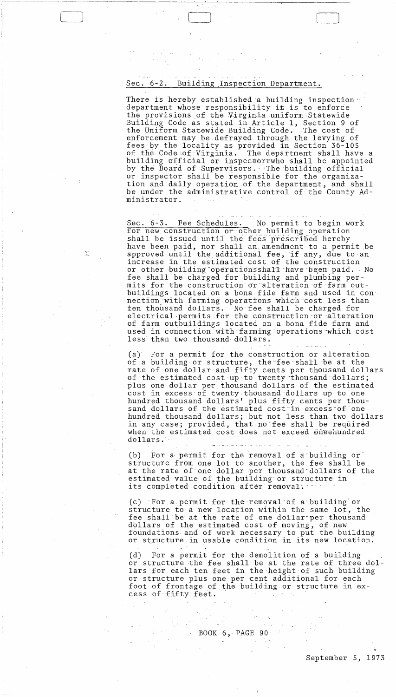# Sec. 6-2. Building ,Inspection Department.

I

There is hereby established a building inspection  $\cdot$ department whose responsibility it is to enforce the provisions of the Virginia uniform Statewide Building Code as stated in Article 1, Section 9 of the Uniform Statewide Building Code. The cost of enforcement may be defrayed through the levying of fees.by the locality as provided in Section 36-105 of the Code:of·Virginia. The department shall have a building official or inspectorrwho shall be appointed by the Board of Supervisors. The building official or inspector shall be responsible for the organization and daily operation of the department, and shall be under the administrative control of the County Administrator.

Sec. 6-3. Fee Schedules. No permit to begin work for new construction or other building operation shall be issued until the fees prescribed hereby have been paid, nor shall an, amendment to a permit .be approved until the additional fee, if any, due to an increase in the estimated cost of the construction or other building operationsshall have been paid. No fee shall be charged for building and plumbing permits for the construction or alteration of farm outbuildings located on a bona fide farm and used in connection,with farming aperations which-cost less than len thousand dollars. No fee shall be charged for electrical permits for the construction or alteration of farm outbuildings located on a bona fide farm and used in connection with farming operations which cost less than two thousand dollars.

(a) For a permit for the construction or alteration of a building or structure, the fee shall be at the rate of one dollar and fifty cents per thousand dollars of the estimated cost up to twenty thousand dollars; plus one dollar per thousand dollars of the estimated cost in excess of twenty. thousand dollars up to one hundred thousand dollars' plus fifty cents per thousand dollars of the estimated cost in excess of one hundred thousand dollars; but not less than two dollars in any case; provided, that no fee shall be required when the estimated cost does not exceed oneehundred dollars.

(b) For a permit for the removal of a building or structure from one lot to another, the fee shall be at the rate of one dollar per thousand'dollars of the estimated value of the building or structure in its completed condition after removal.

عوامر عرابيا عوامر عراقا فراققا

(c) For a permit for the removal of a'building'or structure to a new location within the same lot, the fee shall be at the rate of one dollar per thousand dollars of the estimated cost of moving, of new foundations· and of work necessary to put the building or structure in usable condition in its new location.

(d) For a permit for the demolition of a building or structure the fee shall be at the rate of three dollars for each ten feet in the'height of such building or structure plus one per cent additional for each foot of frontage of ,the building or structure in excess of fifty feet.

BOOK  $6,$  PAGE 90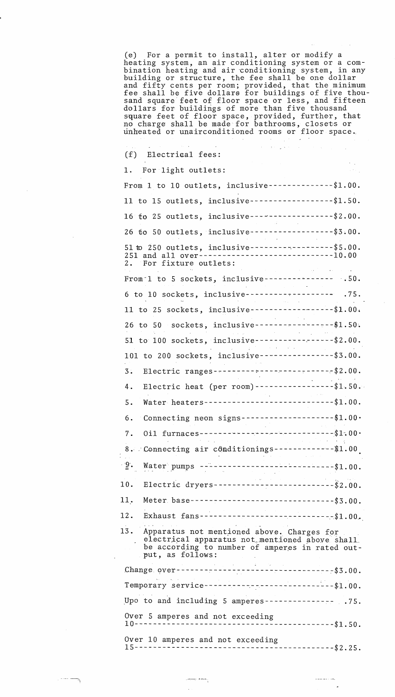(e) For a permit to install, alter or modify a heating system, an air conditioning system or a combination heating and air 'conditioning system, in any building or structure, the fee shall be one dollar and fifty cents per room; provided, that the minimum fee shall be five dollars for buildings of five thousand square feet of floor space or less, and fifteen dollars for buildings of more than five thousand square feet of floor space, provided, further, that no charge shall be made for bathrooms, closets or rinheated or unairconditioned Tooms er floor space ..

 $\sim 10^{-1}$ 

 $\sim$  $\mathcal{A}=\frac{1}{2} \mathcal{A}^{\dagger} \mathcal{A}^{\dagger} \mathcal{A}^{\dagger}$  , where

 $\mathcal{O}(\mathcal{O}(\log n))$  . The set of  $\mathcal{O}(\log n)$ 

 $\omega = \omega \omega \neq \omega \rightarrow \omega \omega_{\alpha}$ 

(f) Electriaal fees:

---)

| 1. For light outlets:                                                                                                                                                                                                                                                                                                                                                                                                         |  |
|-------------------------------------------------------------------------------------------------------------------------------------------------------------------------------------------------------------------------------------------------------------------------------------------------------------------------------------------------------------------------------------------------------------------------------|--|
| From 1 to 10 outlets, inclusive--------------\$1.00.                                                                                                                                                                                                                                                                                                                                                                          |  |
| 11 to 15 outlets, inclusive-------------------\$1.50.                                                                                                                                                                                                                                                                                                                                                                         |  |
|                                                                                                                                                                                                                                                                                                                                                                                                                               |  |
| 16 fo 25 outlets, inclusive-------------------\$2.00.                                                                                                                                                                                                                                                                                                                                                                         |  |
| 26 to 50 outlets, inclusive-------------------\$3.00.                                                                                                                                                                                                                                                                                                                                                                         |  |
| 51 to 250 outlets, inclusive-------------------\$5.00.<br>251 and all over-----------------------------10.00<br>2. For fixture outlets:<br>$\mathcal{L}^{\mathcal{L}}$ and $\mathcal{L}^{\mathcal{L}}$ are the set of the set of the set of $\mathcal{L}^{\mathcal{L}}$                                                                                                                                                       |  |
| From $1$ to 5 sockets, inclusive-------------- .50.                                                                                                                                                                                                                                                                                                                                                                           |  |
| 6 to 10 sockets, inclusive------------------- .75.                                                                                                                                                                                                                                                                                                                                                                            |  |
| 11 to 25 sockets, inclusive-------------------- \$1.00.                                                                                                                                                                                                                                                                                                                                                                       |  |
| 26 to 50 sockets, inclusive--------------------\$1.50.                                                                                                                                                                                                                                                                                                                                                                        |  |
| 51 to 100 sockets, inclusive-----------------\$2.00.<br>$\label{eq:2} \frac{1}{2} \int_{\mathbb{R}^2} \frac{1}{\sqrt{2}} \left( \frac{1}{2} \sum_{i=1}^2 \frac{1}{2} \sum_{j=1}^2 \frac{1}{2} \sum_{j=1}^2 \frac{1}{2} \sum_{j=1}^2 \frac{1}{2} \sum_{j=1}^2 \frac{1}{2} \sum_{j=1}^2 \frac{1}{2} \sum_{j=1}^2 \frac{1}{2} \sum_{j=1}^2 \frac{1}{2} \sum_{j=1}^2 \frac{1}{2} \sum_{j=1}^2 \frac{1}{2} \sum_{j=1}^2 \frac{1}{$ |  |
| 101 to 200 sockets, inclusive----------------\$3.00.                                                                                                                                                                                                                                                                                                                                                                          |  |
| Electric ranges---------------------------\$2.00.<br>$3$ .                                                                                                                                                                                                                                                                                                                                                                    |  |
| Electric heat (per room) -------------------\$1.50.<br>4.                                                                                                                                                                                                                                                                                                                                                                     |  |
| Water heaters-----------------------------\$1.00.<br>5.                                                                                                                                                                                                                                                                                                                                                                       |  |
| Connecting neon signs----------------------\$1.00.<br>6.                                                                                                                                                                                                                                                                                                                                                                      |  |
| Oil furnaces -------------------------------\$1.00.<br>7.                                                                                                                                                                                                                                                                                                                                                                     |  |
| 8. Connecting air conditionings--------------\$1.00                                                                                                                                                                                                                                                                                                                                                                           |  |
| $\frac{9}{2}$ . Water pumps -----------------------------\$1.00.                                                                                                                                                                                                                                                                                                                                                              |  |
| Electric dryers---------------------------\$2.00.<br>10.                                                                                                                                                                                                                                                                                                                                                                      |  |
| Meter base--------------------------------\$3.00.<br>11.                                                                                                                                                                                                                                                                                                                                                                      |  |
| Exhaust fans------------------------------\$1.00.<br>12.                                                                                                                                                                                                                                                                                                                                                                      |  |
| 13. Apparatus not mentioned above. Charges for<br>electrical apparatus not mentioned above shall<br>be according to number of amperes in rated out-<br>put, as follows:                                                                                                                                                                                                                                                       |  |
|                                                                                                                                                                                                                                                                                                                                                                                                                               |  |
| Temporary service-----------------------------\$1.00.                                                                                                                                                                                                                                                                                                                                                                         |  |
| Upo to and including 5 amperes--------------- .75.                                                                                                                                                                                                                                                                                                                                                                            |  |
| Over 5 amperes and not exceeding<br>----------------------\$1.50.<br>$10--$                                                                                                                                                                                                                                                                                                                                                   |  |
| Over 10 amperes and not exceeding                                                                                                                                                                                                                                                                                                                                                                                             |  |
| - -----------------------\$2.25.<br>15--------------                                                                                                                                                                                                                                                                                                                                                                          |  |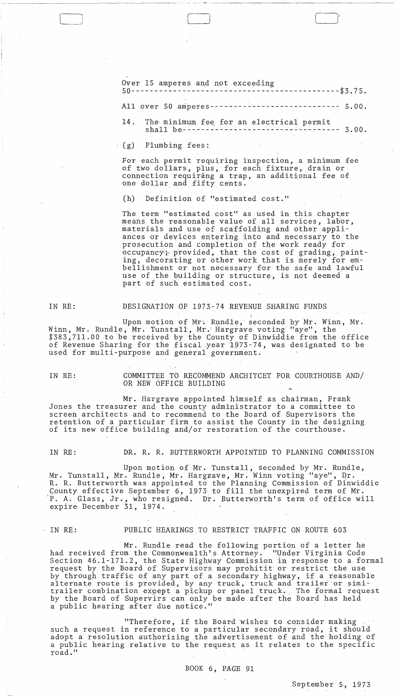Over 15 amperes and not exc~eding 50---------------------------------------------\$3.75.

Allover 50 amperes---------------------------- 5.00.

14. The minimum fee for an electrical permit<br>shall be--------------------------------- 3.00. shall be--------------------------

(g) Plumbing fees:

For each permit requiring inspection, a minimum fee of two dollars, plus, for each fixture, drain or connection requirang a trap, an additional fee of one dollar and fifty cents.

(h) Definition of "estimated cost."

The term "estimated cost" as used in this chapter means the reasonable value of all services, labor, materials and use of scaffolding and other appliances or devices entering into and necessary to the prosecution and completion of the work ready for occupancy; provided, that the cost of grading, painting, decorating or other work that is merely for embellishment or not necessary for the safe and lawful use of ,the building or structure, is not deemed a part of such estimated cost.

j

IN RE:

#### DESIGNATION OF 1973-74 REVENUE SHARING FUNDS

Upon motion of Mr. Rundle, seconded by Mr. Winn, Mr. Winn, Mr. Rundle, Mr. Tunstall, Mr. Hargrave voting "aye", the \$383,711.00 to be received by the County of Dinwiddie from the office of Revenue Sharing for the fiscal ,year 1973 -74, was des ignated to be used for multi-purpose and general government.

IN RE: COMMITTEE TO RECOMMEND ARCHITCET FOR COURTHOUSE AND/ OR NEW OFFICE BUILDING

Mr. Hargrave appointed himself as chairman, Frank Jones the treasurer and the county administrator to a committee to screen architects and to recommend to the Board of Supervisors the retention of a particular firm to assist the County in the designing of its new office building and/or restoration of the courthouse.

IN RE: DR. R. R. BUTTERWORTH APPOINTED TO PLANNING COMMISSION

Upon motion of Mr. Tunstall, seconded by Mr. Rundle, Mr. Tunstall, Mr. Rundle, Mr. Hargrave, Mr. Winn voting "aye", Dr. R. R. Butterworth was appointed to the Planning Commission of Dinwiddie County effective September 6, 1973, to fill the unexpired term of Mr. bounty effective september 0, 1975 to fift the unexprice term of Mi.<br>P. A. Glass, Jr., who resigned. Dr. Butterworth's term of office will expire December 31, 1974.

#### . IN RE: PUBLIC HEARINGS TO RESTRICT TRAFFIC ON ROUTE 603

Mr. Rundle read the following portion of a letter he had received from the Commonwealth's Attorney. "Under Virginia Code Section 46.1-171.2, the State Highway Commission in response to a formal bection 40.1 1/1.2, the State highway commission in response to a 10.<br>request by the Board of Supervisors may prohitit or restrict the use. by through traffic of any part of a secondary highway, if a reasonable by enrough cruitic or any part of a secondary highway, if a reasonable alternate route is provided, by any truck, truck and trailer or simiafternate route is provided, by any truck, truck and traffer of similar trailer combination expept a pickup or panel truck. The formal request by the Board of Supervirs can only be made after the Board has held a public hearing after due notice."

"Therefore, if the Board wishes to consider making " such a request in reference to a particular secondary road, it should adopt a resolution authorizing the advertisement of and the holding of adopt a resolution authorizing the advertisement of and the holding of<br>a public hearing relative to the request as it relates to the specific road." The same was also to the required the

BOOK 6, PAGE 91